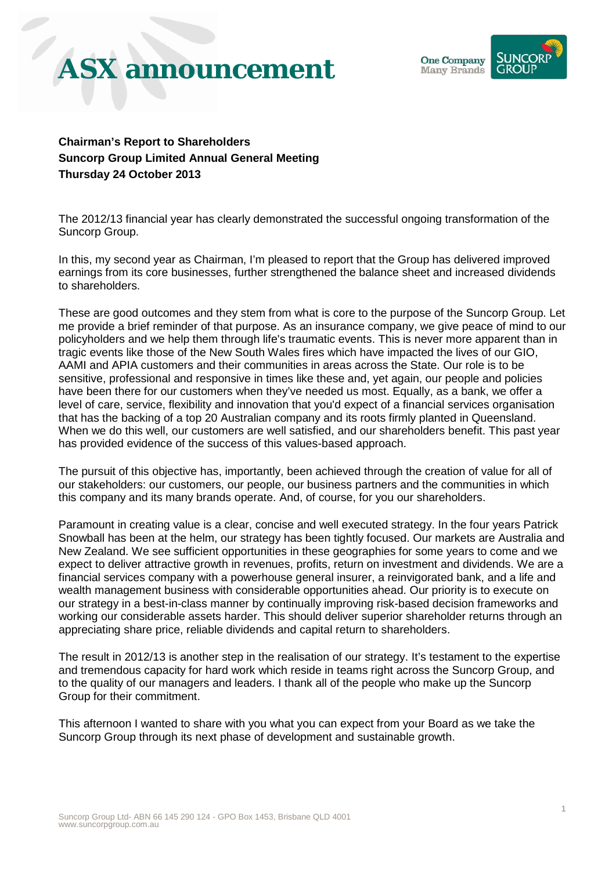## **ASX announcement**



**Chairman's Report to Shareholders Suncorp Group Limited Annual General Meeting Thursday 24 October 2013**

The 2012/13 financial year has clearly demonstrated the successful ongoing transformation of the Suncorp Group.

In this, my second year as Chairman, I'm pleased to report that the Group has delivered improved earnings from its core businesses, further strengthened the balance sheet and increased dividends to shareholders.

These are good outcomes and they stem from what is core to the purpose of the Suncorp Group. Let me provide a brief reminder of that purpose. As an insurance company, we give peace of mind to our policyholders and we help them through life's traumatic events. This is never more apparent than in tragic events like those of the New South Wales fires which have impacted the lives of our GIO, AAMI and APIA customers and their communities in areas across the State. Our role is to be sensitive, professional and responsive in times like these and, yet again, our people and policies have been there for our customers when they've needed us most. Equally, as a bank, we offer a level of care, service, flexibility and innovation that you'd expect of a financial services organisation that has the backing of a top 20 Australian company and its roots firmly planted in Queensland. When we do this well, our customers are well satisfied, and our shareholders benefit. This past year has provided evidence of the success of this values-based approach.

The pursuit of this objective has, importantly, been achieved through the creation of value for all of our stakeholders: our customers, our people, our business partners and the communities in which this company and its many brands operate. And, of course, for you our shareholders.

Paramount in creating value is a clear, concise and well executed strategy. In the four years Patrick Snowball has been at the helm, our strategy has been tightly focused. Our markets are Australia and New Zealand. We see sufficient opportunities in these geographies for some years to come and we expect to deliver attractive growth in revenues, profits, return on investment and dividends. We are a financial services company with a powerhouse general insurer, a reinvigorated bank, and a life and wealth management business with considerable opportunities ahead. Our priority is to execute on our strategy in a best-in-class manner by continually improving risk-based decision frameworks and working our considerable assets harder. This should deliver superior shareholder returns through an appreciating share price, reliable dividends and capital return to shareholders.

The result in 2012/13 is another step in the realisation of our strategy. It's testament to the expertise and tremendous capacity for hard work which reside in teams right across the Suncorp Group, and to the quality of our managers and leaders. I thank all of the people who make up the Suncorp Group for their commitment.

This afternoon I wanted to share with you what you can expect from your Board as we take the Suncorp Group through its next phase of development and sustainable growth.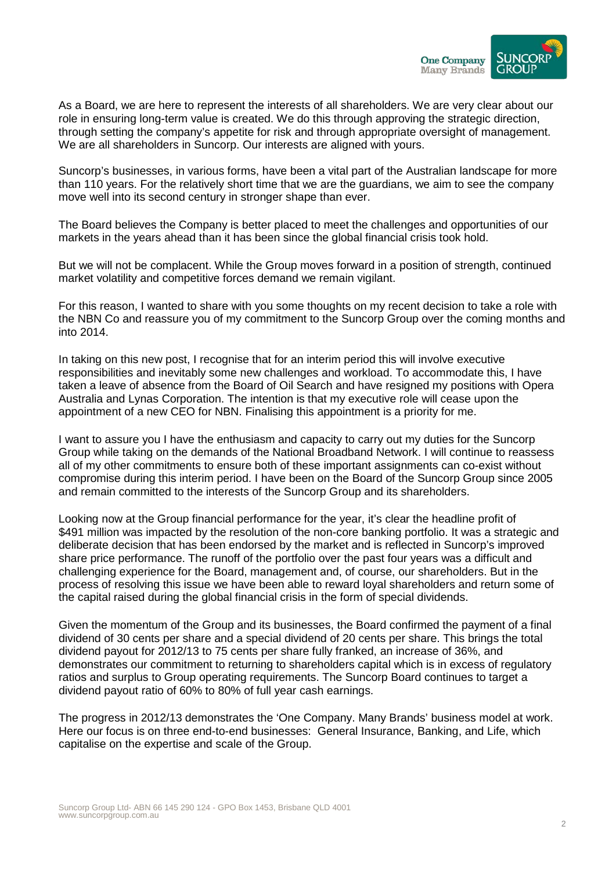

As a Board, we are here to represent the interests of all shareholders. We are very clear about our role in ensuring long-term value is created. We do this through approving the strategic direction, through setting the company's appetite for risk and through appropriate oversight of management. We are all shareholders in Suncorp. Our interests are aligned with yours.

Suncorp's businesses, in various forms, have been a vital part of the Australian landscape for more than 110 years. For the relatively short time that we are the guardians, we aim to see the company move well into its second century in stronger shape than ever.

The Board believes the Company is better placed to meet the challenges and opportunities of our markets in the years ahead than it has been since the global financial crisis took hold.

But we will not be complacent. While the Group moves forward in a position of strength, continued market volatility and competitive forces demand we remain vigilant.

For this reason, I wanted to share with you some thoughts on my recent decision to take a role with the NBN Co and reassure you of my commitment to the Suncorp Group over the coming months and into 2014.

In taking on this new post, I recognise that for an interim period this will involve executive responsibilities and inevitably some new challenges and workload. To accommodate this, I have taken a leave of absence from the Board of Oil Search and have resigned my positions with Opera Australia and Lynas Corporation. The intention is that my executive role will cease upon the appointment of a new CEO for NBN. Finalising this appointment is a priority for me.

I want to assure you I have the enthusiasm and capacity to carry out my duties for the Suncorp Group while taking on the demands of the National Broadband Network. I will continue to reassess all of my other commitments to ensure both of these important assignments can co-exist without compromise during this interim period. I have been on the Board of the Suncorp Group since 2005 and remain committed to the interests of the Suncorp Group and its shareholders.

Looking now at the Group financial performance for the year, it's clear the headline profit of \$491 million was impacted by the resolution of the non-core banking portfolio. It was a strategic and deliberate decision that has been endorsed by the market and is reflected in Suncorp's improved share price performance. The runoff of the portfolio over the past four years was a difficult and challenging experience for the Board, management and, of course, our shareholders. But in the process of resolving this issue we have been able to reward loyal shareholders and return some of the capital raised during the global financial crisis in the form of special dividends.

Given the momentum of the Group and its businesses, the Board confirmed the payment of a final dividend of 30 cents per share and a special dividend of 20 cents per share. This brings the total dividend payout for 2012/13 to 75 cents per share fully franked, an increase of 36%, and demonstrates our commitment to returning to shareholders capital which is in excess of regulatory ratios and surplus to Group operating requirements. The Suncorp Board continues to target a dividend payout ratio of 60% to 80% of full year cash earnings.

The progress in 2012/13 demonstrates the 'One Company. Many Brands' business model at work. Here our focus is on three end-to-end businesses: General Insurance, Banking, and Life, which capitalise on the expertise and scale of the Group.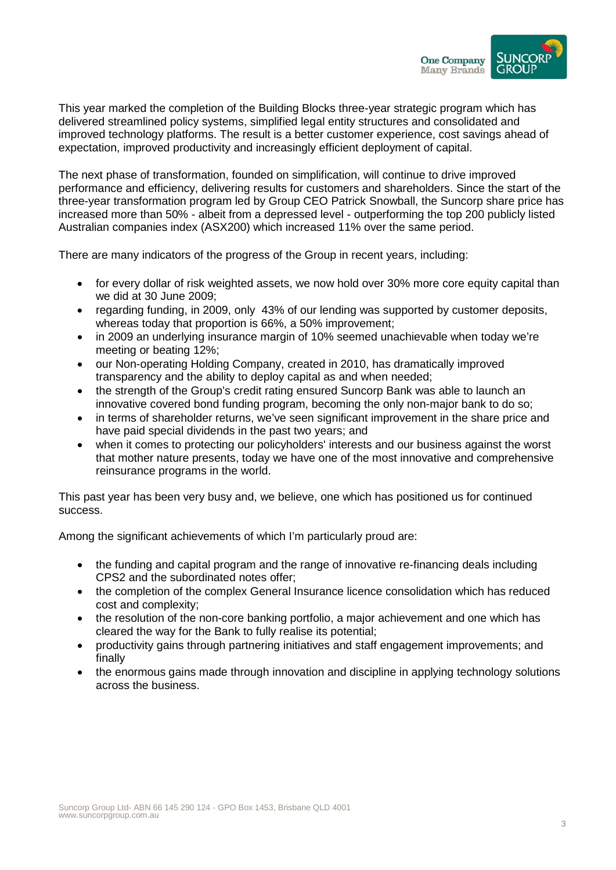

This year marked the completion of the Building Blocks three-year strategic program which has delivered streamlined policy systems, simplified legal entity structures and consolidated and improved technology platforms. The result is a better customer experience, cost savings ahead of expectation, improved productivity and increasingly efficient deployment of capital.

The next phase of transformation, founded on simplification, will continue to drive improved performance and efficiency, delivering results for customers and shareholders. Since the start of the three-year transformation program led by Group CEO Patrick Snowball, the Suncorp share price has increased more than 50% - albeit from a depressed level - outperforming the top 200 publicly listed Australian companies index (ASX200) which increased 11% over the same period.

There are many indicators of the progress of the Group in recent years, including:

- for every dollar of risk weighted assets, we now hold over 30% more core equity capital than we did at 30 June 2009;
- regarding funding, in 2009, only 43% of our lending was supported by customer deposits, whereas today that proportion is 66%, a 50% improvement;
- in 2009 an underlying insurance margin of 10% seemed unachievable when today we're meeting or beating 12%;
- our Non-operating Holding Company, created in 2010, has dramatically improved transparency and the ability to deploy capital as and when needed;
- the strength of the Group's credit rating ensured Suncorp Bank was able to launch an innovative covered bond funding program, becoming the only non-major bank to do so;
- in terms of shareholder returns, we've seen significant improvement in the share price and have paid special dividends in the past two years; and
- when it comes to protecting our policyholders' interests and our business against the worst that mother nature presents, today we have one of the most innovative and comprehensive reinsurance programs in the world.

This past year has been very busy and, we believe, one which has positioned us for continued success.

Among the significant achievements of which I'm particularly proud are:

- the funding and capital program and the range of innovative re-financing deals including CPS2 and the subordinated notes offer;
- the completion of the complex General Insurance licence consolidation which has reduced cost and complexity;
- the resolution of the non-core banking portfolio, a major achievement and one which has cleared the way for the Bank to fully realise its potential;
- productivity gains through partnering initiatives and staff engagement improvements; and finally
- the enormous gains made through innovation and discipline in applying technology solutions across the business.